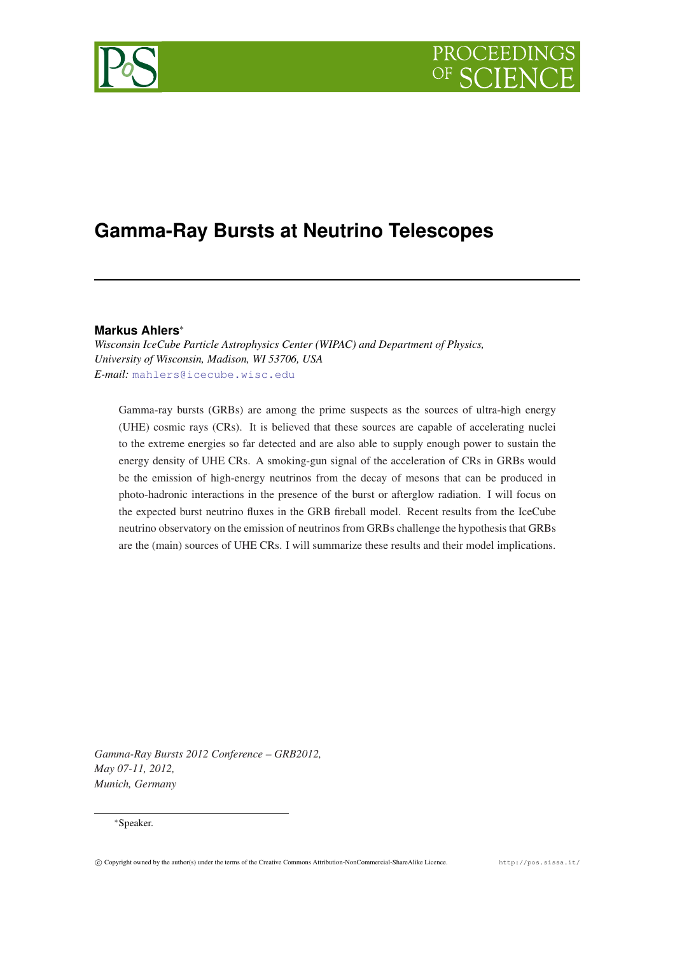



# **Gamma-Ray Bursts at Neutrino Telescopes**

## **Markus Ahlers**∗

*Wisconsin IceCube Particle Astrophysics Center (WIPAC) and Department of Physics, University of Wisconsin, Madison, WI 53706, USA E-mail:* [mahlers@icecube.wisc.edu](mailto:mahlers@icecube.wisc.edu)

Gamma-ray bursts (GRBs) are among the prime suspects as the sources of ultra-high energy (UHE) cosmic rays (CRs). It is believed that these sources are capable of accelerating nuclei to the extreme energies so far detected and are also able to supply enough power to sustain the energy density of UHE CRs. A smoking-gun signal of the acceleration of CRs in GRBs would be the emission of high-energy neutrinos from the decay of mesons that can be produced in photo-hadronic interactions in the presence of the burst or afterglow radiation. I will focus on the expected burst neutrino fluxes in the GRB fireball model. Recent results from the IceCube neutrino observatory on the emission of neutrinos from GRBs challenge the hypothesis that GRBs are the (main) sources of UHE CRs. I will summarize these results and their model implications.

*Gamma-Ray Bursts 2012 Conference – GRB2012, May 07-11, 2012, Munich, Germany*

#### ∗Speaker.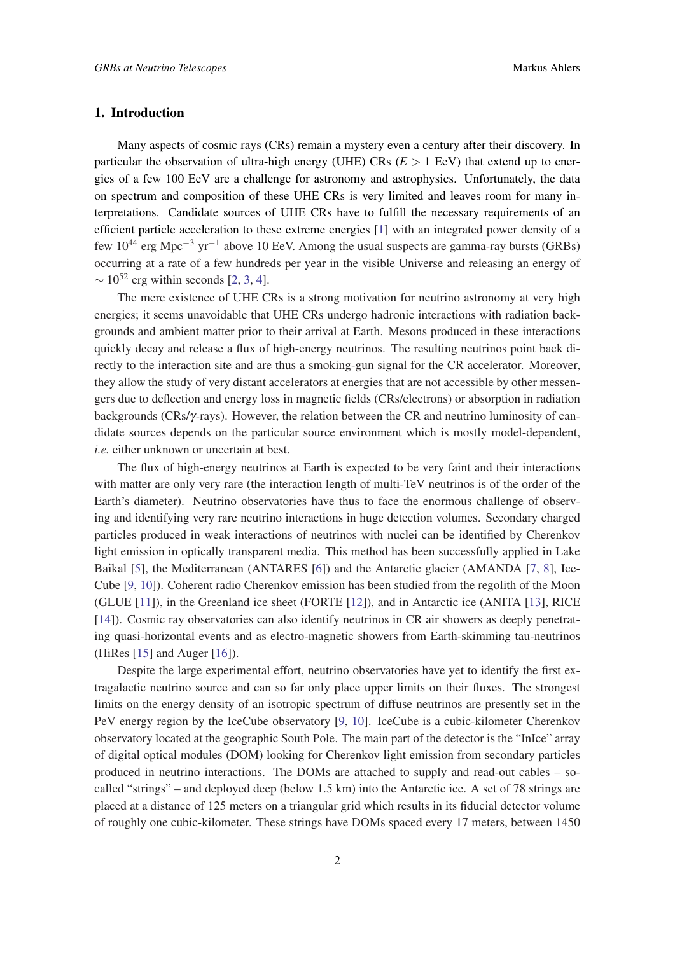#### 1. Introduction

Many aspects of cosmic rays (CRs) remain a mystery even a century after their discovery. In particular the observation of ultra-high energy (UHE)  $CRs$  ( $E > 1$  EeV) that extend up to energies of a few 100 EeV are a challenge for astronomy and astrophysics. Unfortunately, the data on spectrum and composition of these UHE CRs is very limited and leaves room for many interpretations. Candidate sources of UHE CRs have to fulfill the necessary requirements of an efficient particle acceleration to these extreme energies [[1](#page-7-0)] with an integrated power density of a few 10<sup>44</sup> erg Mpc<sup>-3</sup> yr<sup>-1</sup> above 10 EeV. Among the usual suspects are gamma-ray bursts (GRBs) occurring at a rate of a few hundreds per year in the visible Universe and releasing an energy of  $\sim 10^{52}$  erg within seconds [\[2,](#page-7-0) [3,](#page-7-0) [4\]](#page-7-0).

The mere existence of UHE CRs is a strong motivation for neutrino astronomy at very high energies; it seems unavoidable that UHE CRs undergo hadronic interactions with radiation backgrounds and ambient matter prior to their arrival at Earth. Mesons produced in these interactions quickly decay and release a flux of high-energy neutrinos. The resulting neutrinos point back directly to the interaction site and are thus a smoking-gun signal for the CR accelerator. Moreover, they allow the study of very distant accelerators at energies that are not accessible by other messengers due to deflection and energy loss in magnetic fields (CRs/electrons) or absorption in radiation backgrounds (CRs/γ-rays). However, the relation between the CR and neutrino luminosity of candidate sources depends on the particular source environment which is mostly model-dependent, *i.e.* either unknown or uncertain at best.

The flux of high-energy neutrinos at Earth is expected to be very faint and their interactions with matter are only very rare (the interaction length of multi-TeV neutrinos is of the order of the Earth's diameter). Neutrino observatories have thus to face the enormous challenge of observing and identifying very rare neutrino interactions in huge detection volumes. Secondary charged particles produced in weak interactions of neutrinos with nuclei can be identified by Cherenkov light emission in optically transparent media. This method has been successfully applied in Lake Baikal [[5](#page-7-0)], the Mediterranean (ANTARES [[6](#page-7-0)]) and the Antarctic glacier (AMANDA [[7](#page-7-0), [8\]](#page-7-0), Ice-Cube [[9](#page-7-0), [10](#page-7-0)]). Coherent radio Cherenkov emission has been studied from the regolith of the Moon (GLUE [[11\]](#page-7-0)), in the Greenland ice sheet (FORTE [\[12](#page-7-0)]), and in Antarctic ice (ANITA [[13\]](#page-7-0), RICE [[14\]](#page-7-0)). Cosmic ray observatories can also identify neutrinos in CR air showers as deeply penetrating quasi-horizontal events and as electro-magnetic showers from Earth-skimming tau-neutrinos (HiRes [[15\]](#page-8-0) and Auger [[16\]](#page-8-0)).

Despite the large experimental effort, neutrino observatories have yet to identify the first extragalactic neutrino source and can so far only place upper limits on their fluxes. The strongest limits on the energy density of an isotropic spectrum of diffuse neutrinos are presently set in the PeV energy region by the IceCube observatory [[9](#page-7-0), [10](#page-7-0)]. IceCube is a cubic-kilometer Cherenkov observatory located at the geographic South Pole. The main part of the detector is the "InIce" array of digital optical modules (DOM) looking for Cherenkov light emission from secondary particles produced in neutrino interactions. The DOMs are attached to supply and read-out cables – socalled "strings" – and deployed deep (below 1.5 km) into the Antarctic ice. A set of 78 strings are placed at a distance of 125 meters on a triangular grid which results in its fiducial detector volume of roughly one cubic-kilometer. These strings have DOMs spaced every 17 meters, between 1450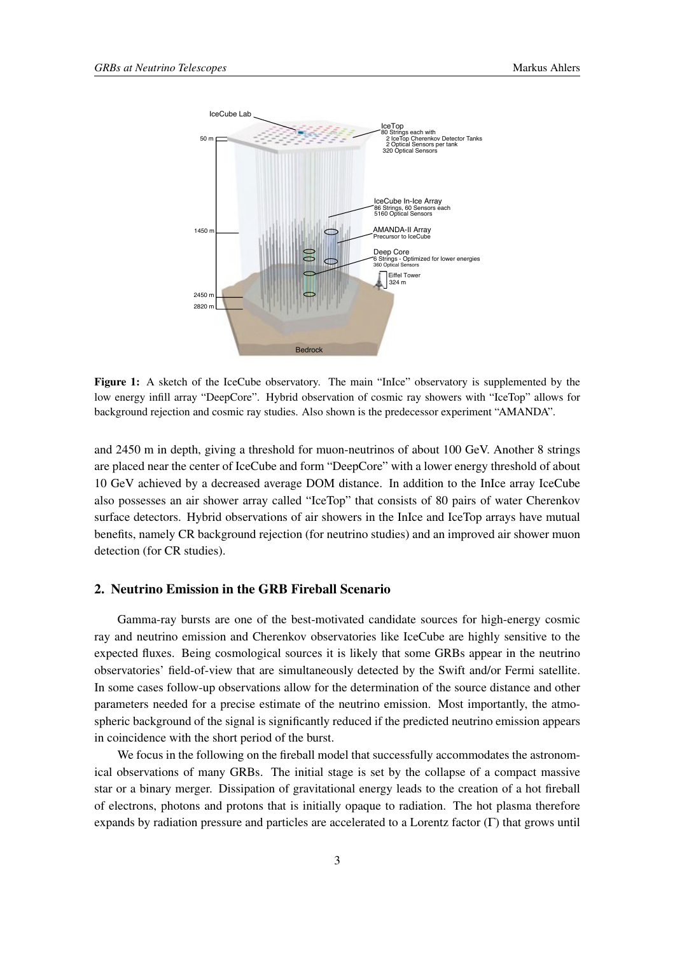

Figure 1: A sketch of the IceCube observatory. The main "InIce" observatory is supplemented by the low energy infill array "DeepCore". Hybrid observation of cosmic ray showers with "IceTop" allows for background rejection and cosmic ray studies. Also shown is the predecessor experiment "AMANDA".

and 2450 m in depth, giving a threshold for muon-neutrinos of about 100 GeV. Another 8 strings are placed near the center of IceCube and form "DeepCore" with a lower energy threshold of about 10 GeV achieved by a decreased average DOM distance. In addition to the InIce array IceCube also possesses an air shower array called "IceTop" that consists of 80 pairs of water Cherenkov surface detectors. Hybrid observations of air showers in the InIce and IceTop arrays have mutual benefits, namely CR background rejection (for neutrino studies) and an improved air shower muon detection (for CR studies).

## 2. Neutrino Emission in the GRB Fireball Scenario

Gamma-ray bursts are one of the best-motivated candidate sources for high-energy cosmic ray and neutrino emission and Cherenkov observatories like IceCube are highly sensitive to the expected fluxes. Being cosmological sources it is likely that some GRBs appear in the neutrino observatories' field-of-view that are simultaneously detected by the Swift and/or Fermi satellite. In some cases follow-up observations allow for the determination of the source distance and other parameters needed for a precise estimate of the neutrino emission. Most importantly, the atmospheric background of the signal is significantly reduced if the predicted neutrino emission appears in coincidence with the short period of the burst.

We focus in the following on the fireball model that successfully accommodates the astronomical observations of many GRBs. The initial stage is set by the collapse of a compact massive star or a binary merger. Dissipation of gravitational energy leads to the creation of a hot fireball of electrons, photons and protons that is initially opaque to radiation. The hot plasma therefore expands by radiation pressure and particles are accelerated to a Lorentz factor (Γ) that grows until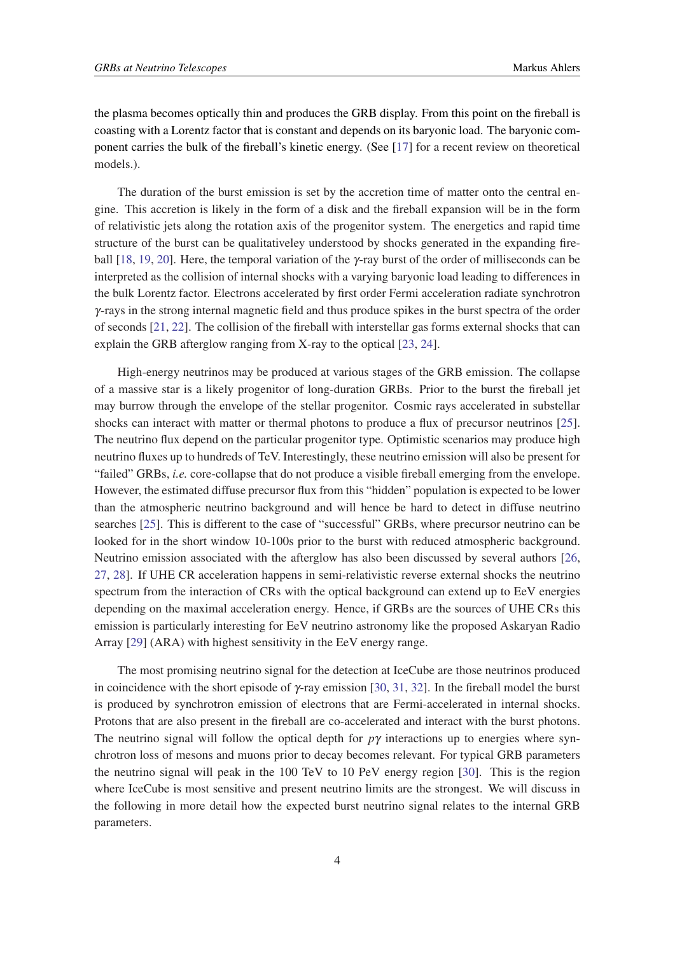the plasma becomes optically thin and produces the GRB display. From this point on the fireball is coasting with a Lorentz factor that is constant and depends on its baryonic load. The baryonic component carries the bulk of the fireball's kinetic energy. (See [[17\]](#page-8-0) for a recent review on theoretical models.).

The duration of the burst emission is set by the accretion time of matter onto the central engine. This accretion is likely in the form of a disk and the fireball expansion will be in the form of relativistic jets along the rotation axis of the progenitor system. The energetics and rapid time structure of the burst can be qualitativeley understood by shocks generated in the expanding fireball [[18,](#page-8-0) [19](#page-8-0), [20](#page-8-0)]. Here, the temporal variation of the γ-ray burst of the order of milliseconds can be interpreted as the collision of internal shocks with a varying baryonic load leading to differences in the bulk Lorentz factor. Electrons accelerated by first order Fermi acceleration radiate synchrotron γ-rays in the strong internal magnetic field and thus produce spikes in the burst spectra of the order of seconds [[21](#page-8-0), [22\]](#page-8-0). The collision of the fireball with interstellar gas forms external shocks that can explain the GRB afterglow ranging from X-ray to the optical [[23,](#page-8-0) [24](#page-8-0)].

High-energy neutrinos may be produced at various stages of the GRB emission. The collapse of a massive star is a likely progenitor of long-duration GRBs. Prior to the burst the fireball jet may burrow through the envelope of the stellar progenitor. Cosmic rays accelerated in substellar shocks can interact with matter or thermal photons to produce a flux of precursor neutrinos [[25\]](#page-8-0). The neutrino flux depend on the particular progenitor type. Optimistic scenarios may produce high neutrino fluxes up to hundreds of TeV. Interestingly, these neutrino emission will also be present for "failed" GRBs, *i.e.* core-collapse that do not produce a visible fireball emerging from the envelope. However, the estimated diffuse precursor flux from this "hidden" population is expected to be lower than the atmospheric neutrino background and will hence be hard to detect in diffuse neutrino searches [[25\]](#page-8-0). This is different to the case of "successful" GRBs, where precursor neutrino can be looked for in the short window 10-100s prior to the burst with reduced atmospheric background. Neutrino emission associated with the afterglow has also been discussed by several authors [\[26](#page-8-0), [27](#page-8-0), [28\]](#page-8-0). If UHE CR acceleration happens in semi-relativistic reverse external shocks the neutrino spectrum from the interaction of CRs with the optical background can extend up to EeV energies depending on the maximal acceleration energy. Hence, if GRBs are the sources of UHE CRs this emission is particularly interesting for EeV neutrino astronomy like the proposed Askaryan Radio Array [\[29](#page-8-0)] (ARA) with highest sensitivity in the EeV energy range.

The most promising neutrino signal for the detection at IceCube are those neutrinos produced in coincidence with the short episode of  $\gamma$ -ray emission [\[30,](#page-8-0) [31](#page-8-0), [32](#page-8-0)]. In the fireball model the burst is produced by synchrotron emission of electrons that are Fermi-accelerated in internal shocks. Protons that are also present in the fireball are co-accelerated and interact with the burst photons. The neutrino signal will follow the optical depth for  $p\gamma$  interactions up to energies where synchrotron loss of mesons and muons prior to decay becomes relevant. For typical GRB parameters the neutrino signal will peak in the 100 TeV to 10 PeV energy region [[30\]](#page-8-0). This is the region where IceCube is most sensitive and present neutrino limits are the strongest. We will discuss in the following in more detail how the expected burst neutrino signal relates to the internal GRB parameters.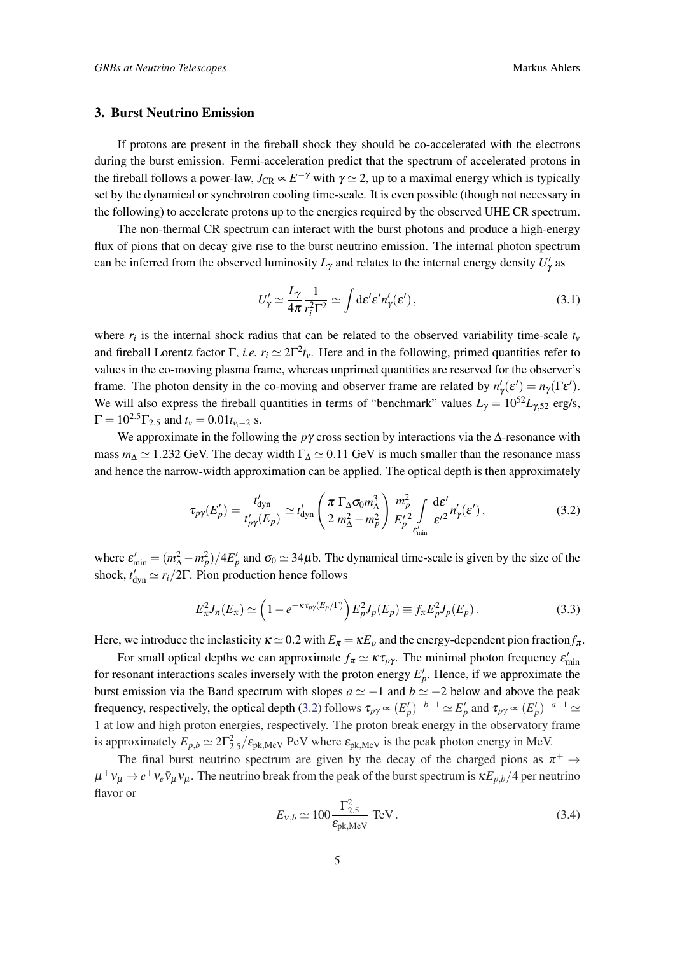#### 3. Burst Neutrino Emission

If protons are present in the fireball shock they should be co-accelerated with the electrons during the burst emission. Fermi-acceleration predict that the spectrum of accelerated protons in the fireball follows a power-law,  $J_{CR} \propto E^{-\gamma}$  with  $\gamma \simeq 2$ , up to a maximal energy which is typically set by the dynamical or synchrotron cooling time-scale. It is even possible (though not necessary in the following) to accelerate protons up to the energies required by the observed UHE CR spectrum.

The non-thermal CR spectrum can interact with the burst photons and produce a high-energy flux of pions that on decay give rise to the burst neutrino emission. The internal photon spectrum can be inferred from the observed luminosity  $L_{\gamma}$  and relates to the internal energy density  $U_{\gamma}'$  as

$$
U'_{\gamma} \simeq \frac{L_{\gamma}}{4\pi} \frac{1}{r_i^2 \Gamma^2} \simeq \int d\varepsilon' \varepsilon' n'_{\gamma}(\varepsilon'), \qquad (3.1)
$$

where  $r_i$  is the internal shock radius that can be related to the observed variability time-scale  $t_i$ and fireball Lorentz factor  $\Gamma$ , *i.e.*  $r_i \simeq 2\Gamma^2 t_v$ . Here and in the following, primed quantities refer to values in the co-moving plasma frame, whereas unprimed quantities are reserved for the observer's frame. The photon density in the co-moving and observer frame are related by  $n'_{\gamma}(\varepsilon') = n_{\gamma}(\Gamma \varepsilon')$ . We will also express the fireball quantities in terms of "benchmark" values  $L<sub>\gamma</sub> = 10<sup>52</sup>L<sub>\gamma,52</sub>$  erg/s,  $\Gamma = 10^{2.5} \Gamma_{2.5}$  and  $t_v = 0.01 t_{v-2}$  s.

We approximate in the following the *p*γ cross section by interactions via the ∆-resonance with mass  $m_{\Delta} \simeq 1.232$  GeV. The decay width  $\Gamma_{\Delta} \simeq 0.11$  GeV is much smaller than the resonance mass and hence the narrow-width approximation can be applied. The optical depth is then approximately

$$
\tau_{p\gamma}(E'_p) = \frac{t'_{\text{dyn}}}{t'_{p\gamma}(E_p)} \simeq t'_{\text{dyn}} \left( \frac{\pi}{2} \frac{\Gamma_{\Delta} \sigma_0 m_{\Delta}^3}{m_{\Delta}^2 - m_p^2} \right) \frac{m_p^2}{E'_p} \int\limits_{\varepsilon'_{\text{min}}} \frac{\text{d}\varepsilon'}{\varepsilon'^2} n'_{\gamma}(\varepsilon'), \tag{3.2}
$$

where  $\varepsilon'_{\min} = (m_{\Delta}^2 - m_p^2)/4E'_p$  and  $\sigma_0 \simeq 34\mu$ b. The dynamical time-scale is given by the size of the shock,  $t'_{\text{dyn}} \simeq r_i/2\Gamma$ . Pion production hence follows

$$
E_{\pi}^2 J_{\pi}(E_{\pi}) \simeq \left(1 - e^{-\kappa \tau_{p\gamma}(E_p/\Gamma)}\right) E_p^2 J_p(E_p) \equiv f_{\pi} E_p^2 J_p(E_p). \tag{3.3}
$$

Here, we introduce the inelasticity  $\kappa \simeq 0.2$  with  $E_\pi = \kappa E_p$  and the energy-dependent pion fraction  $f_\pi$ .

For small optical depths we can approximate  $f_{\pi} \simeq \kappa \tau_{p\gamma}$ . The minimal photon frequency  $\varepsilon'_{\min}$ for resonant interactions scales inversely with the proton energy  $E'_p$ . Hence, if we approximate the burst emission via the Band spectrum with slopes  $a \simeq -1$  and  $b \simeq -2$  below and above the peak frequency, respectively, the optical depth (3.2) follows  $\tau_{p\gamma} \propto (E'_p)^{-b-1} \simeq E'_p$  and  $\tau_{p\gamma} \propto (E'_p)^{-a-1} \simeq$ 1 at low and high proton energies, respectively. The proton break energy in the observatory frame is approximately  $E_{p,b} \simeq 2\Gamma_{2.5}^2/\varepsilon_{\rm pk, MeV}$  PeV where  $\varepsilon_{\rm pk, MeV}$  is the peak photon energy in MeV.

The final burst neutrino spectrum are given by the decay of the charged pions as  $\pi^+ \rightarrow$  $\mu^+v_\mu \to e^+v_e\bar{v}_\mu v_\mu$ . The neutrino break from the peak of the burst spectrum is  $\kappa E_{p,b}/4$  per neutrino flavor or

$$
E_{v,b} \simeq 100 \frac{\Gamma_{2.5}^2}{\varepsilon_{\text{pk},\text{MeV}}} \text{ TeV} \,. \tag{3.4}
$$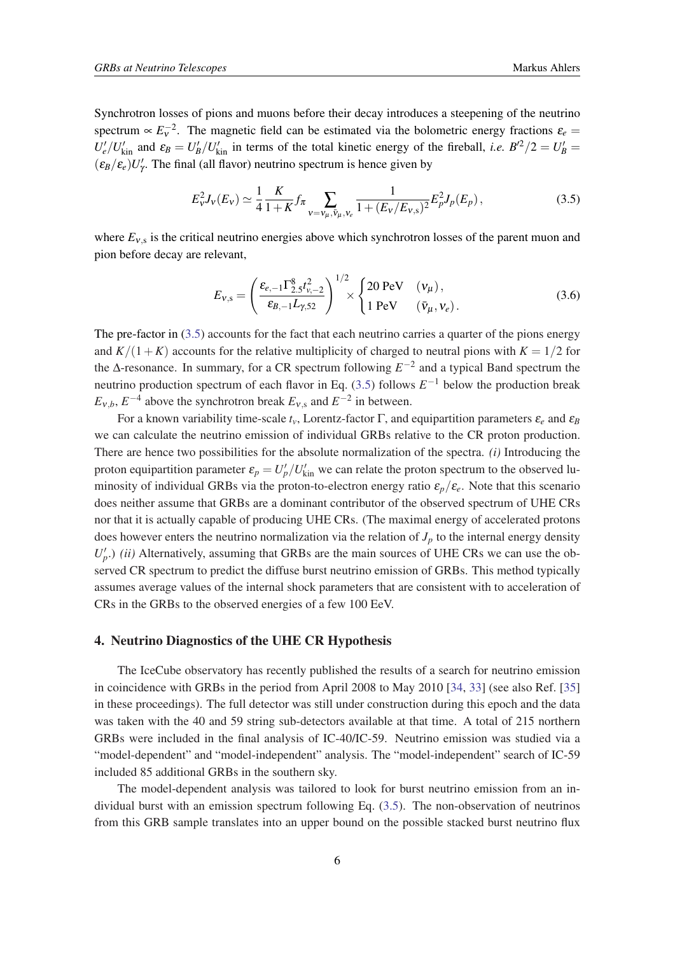Synchrotron losses of pions and muons before their decay introduces a steepening of the neutrino spectrum  $\propto E_v^{-2}$ . The magnetic field can be estimated via the bolometric energy fractions  $\varepsilon_e$  $U'_e/U'_{kin}$  and  $\varepsilon_B = U'_B/U'_{kin}$  in terms of the total kinetic energy of the fireball, *i.e.*  $B'^2/2 = U'_B =$  $(\varepsilon_B/\varepsilon_e)U'_\gamma$ . The final (all flavor) neutrino spectrum is hence given by

$$
E_{\nu}^2 J_{\nu}(E_{\nu}) \simeq \frac{1}{4} \frac{K}{1+K} f_{\pi} \sum_{\nu = \nu_{\mu}, \bar{\nu}_{\mu}, \nu_{e}} \frac{1}{1 + (E_{\nu}/E_{\nu,s})^2} E_{p}^2 J_{p}(E_{p}), \qquad (3.5)
$$

where  $E_{v,s}$  is the critical neutrino energies above which synchrotron losses of the parent muon and pion before decay are relevant,

$$
E_{v,s} = \left(\frac{\varepsilon_{e,-1} \Gamma_{2.5}^8 t_{v,-2}^2}{\varepsilon_{B,-1} L_{\gamma,52}}\right)^{1/2} \times \begin{cases} 20 \text{ PeV} & (v_\mu), \\ 1 \text{ PeV} & (\bar{v}_\mu, v_e). \end{cases}
$$
(3.6)

The pre-factor in (3.5) accounts for the fact that each neutrino carries a quarter of the pions energy and  $K/(1+K)$  accounts for the relative multiplicity of charged to neutral pions with  $K = 1/2$  for the  $\Delta$ -resonance. In summary, for a CR spectrum following  $E^{-2}$  and a typical Band spectrum the neutrino production spectrum of each flavor in Eq.  $(3.5)$  follows  $E^{-1}$  below the production break  $E_{v,b}$ ,  $E^{-4}$  above the synchrotron break  $E_{v,s}$  and  $E^{-2}$  in between.

For a known variability time-scale  $t_v$ , Lorentz-factor  $\Gamma$ , and equipartition parameters  $\varepsilon_e$  and  $\varepsilon_B$ we can calculate the neutrino emission of individual GRBs relative to the CR proton production. There are hence two possibilities for the absolute normalization of the spectra. *(i)* Introducing the proton equipartition parameter  $\varepsilon_p = U_p'/U_{\rm kin}'$  we can relate the proton spectrum to the observed luminosity of individual GRBs via the proton-to-electron energy ratio  $\varepsilon_p/\varepsilon_e$ . Note that this scenario does neither assume that GRBs are a dominant contributor of the observed spectrum of UHE CRs nor that it is actually capable of producing UHE CRs. (The maximal energy of accelerated protons does however enters the neutrino normalization via the relation of  $J_p$  to the internal energy density  $U_p'$ .) *(ii)* Alternatively, assuming that GRBs are the main sources of UHE CRs we can use the observed CR spectrum to predict the diffuse burst neutrino emission of GRBs. This method typically assumes average values of the internal shock parameters that are consistent with to acceleration of CRs in the GRBs to the observed energies of a few 100 EeV.

### 4. Neutrino Diagnostics of the UHE CR Hypothesis

The IceCube observatory has recently published the results of a search for neutrino emission in coincidence with GRBs in the period from April 2008 to May 2010 [\[34](#page-8-0), [33\]](#page-8-0) (see also Ref. [\[35](#page-9-0)] in these proceedings). The full detector was still under construction during this epoch and the data was taken with the 40 and 59 string sub-detectors available at that time. A total of 215 northern GRBs were included in the final analysis of IC-40/IC-59. Neutrino emission was studied via a "model-dependent" and "model-independent" analysis. The "model-independent" search of IC-59 included 85 additional GRBs in the southern sky.

The model-dependent analysis was tailored to look for burst neutrino emission from an individual burst with an emission spectrum following Eq. (3.5). The non-observation of neutrinos from this GRB sample translates into an upper bound on the possible stacked burst neutrino flux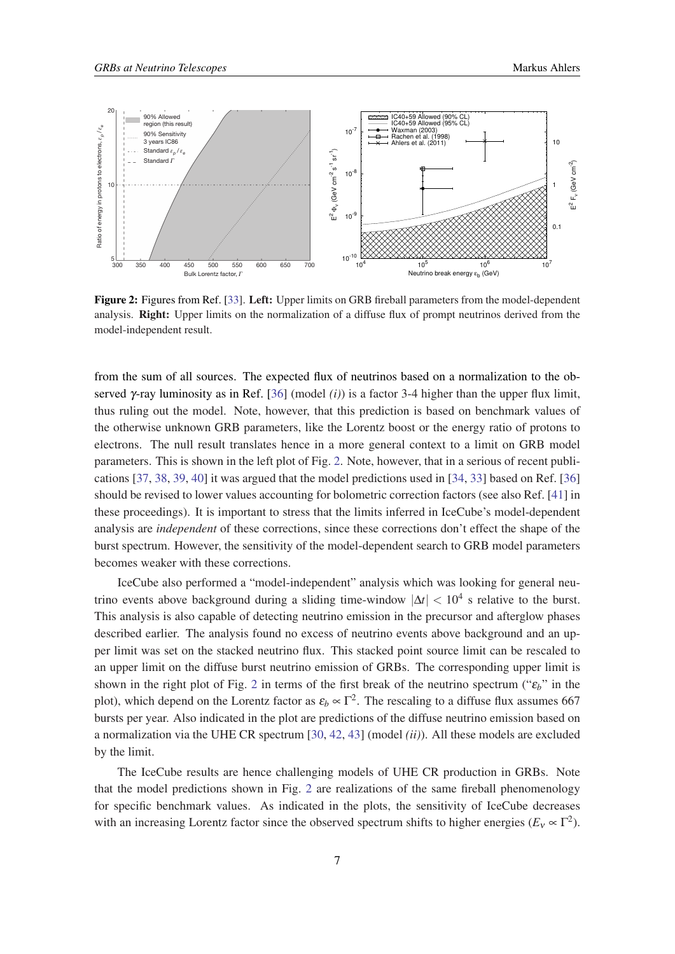

Figure 2: Figures from Ref. [[33\]](#page-8-0). Left: Upper limits on GRB fireball parameters from the model-dependent analysis. Right: Upper limits on the normalization of a diffuse flux of prompt neutrinos derived from the model-independent result. are shown as dashed-dotted and dashed lines and are excluded by this analysis.  $\frac{1}{2}$  shows the total number of expected  $\frac{1}{2}$  events while the theory of expected  $\frac{1}{2}$ 

from the sum of all sources. The expected flux of neutrinos based on a normalization to t 300) and the non-thermal c-ray spectra from the bursts set a weak served  $\gamma$ -ray luminosity as in Ref. [36] (model *(i)*) is a factor 3-4 higher than the upper flux limit, thus ruling out the model Note however  $\mu$  and  $\mu$  and  $\mu$  in  $\mu$ . The comparison of  $\mu$ the otherwise unknown GRB parameters, like the Lorentz boost or the energy ratio of protons to electrons. The null result translates hence in a more general context to a limit on GRB fluxes and removing many uncertainties in the flux calculation. In parameters. This is shown in the left plot of Fig. 2. Note, however, that in a serious of recent publi- $\frac{1}{\sqrt{1-\frac{1}{2}}}\left(1-\frac{1}{2}\right)$ cations [37, 38, 39, 40] it was argued that [the](#page-9-0) model predictions used in [[34,](#page-8-0) [33\]](#page-8-0) based on Ref. [\[36](#page-9-0)] should be revised to lower values accounting for bolometric correction factors (see als these proceedings) It is important to stress t  $\mu$ ose procedangs). It is important to stress analysis are *independent* of these corrections, since these corrections don't effect the shape of the are expressed from GRBs as new largely ruled out. halthough the model-dependent of the second-dependent, the sample (28 seconds) was the sample of the same of the same of the same of the same of the same of the same of the same of the same of the same of the same of the s conclusion is the same for all the versions of fireball phenomenology becomes weaker with these corrections. at this prediction is based on benchmark va manuscript. these proceedings). It is important to stress that the limits inferred in IceCube's model-dependent  $\epsilon$  are the burst after the burst and the burst at a The value of the statistical values. The expected presence of  $\mathbf{r}$  individual events of varying  $\mathbf{r}$  in  $\mathbf{r}$  in  $\mathbf{r}$  in  $\mathbf{r}$  is events of  $\mathbf{r}$  $\mu$  at  $\mu$  second in the  $\mu$  of  $\mu$ . The second with background and  $\mu$ should be revised to lower values accounting for bolometric correction factors (see also Ref. [[41](#page-9-0)] in burst spectrum, However, the sensitivity of  $\mathbf{r}$  of neutrings head an a nermalization to the absorption from the sum of all sources. The expected flux of neutrinos based on a normalization to the obthe first break, the first break, the upper break, due to synthus ruling out the model. Note, however, that this prediction is based on benchmark values of and thus does not have a significant e↵ect on the presented electrons. The null result translates hence in a more general context to a limit on GRB model these proceedings). It is important to stress that the limits inferred in IceCube's model-dependent tions are approximately discussed by the original proximately of the original proximately and the original pro<br>The original proximately discussed by the original proximately discussed by the original proximately discussed burst spectrum. However, the sensitivity of the model-dependent search to GRB model parameters

IceCube also performed a "model-independent" analysis which was looking for general that included in current models. In either case, our current theories of trino events above background during a sliding time-window  $|\Delta t| < 10^4$  s relative to the burst. This analysis is also capable of detecting neutrino emission in the precursor and afterglow described earlier. The analysis found no exc per limit was set on the stacked neutrino flux. This stacked point source limit can be rescaled to an upper limit on the diffuse burst neutrino emission of GRBs. The corresponding upper l shown in the right plot of Fig. 2 in terms  $\tilde{C}$ plot), which depend on the Lorentz factor as  $\varepsilon_b \propto \Gamma^2$ . The rescaling to a diffuse flux assumes 667 IceCube neutrino telescope. Astrophys. J. 710, 346–359 (2010). R. Klein11,12, J.-H. Ko¨hne25, G. Kohnen40, H. Kolanoski38, L. Ko¨pke33, S. Kopper17, D. J. standard parameters and uncertainties on those paramedescribed earlier. The analysis found no excess of neutrino events above background and an upshown in the right plot of Fig. 2 in terms of the first break of the neutrino spectrum (" $\varepsilon_b$ ") a normalization via the UHE CR spectrum  $[30, 42, 43]$  $[30, 42, 43]$  $[30, 42, 43]$  $[30, 42, 43]$  $[30, 42, 43]$  $[30, 42, 43]$  $[30, 42, 43]$  (model  $(ii)$ ). All these models are excluded IceCube also performed a "model-independent" analysis which was looking for general neu-This analysis is also capable of detecting neutrino emission in the precursor and afterglow phases an upper mint on the unruse ourst neutring bursts per year. Also mulcated in the prot are by the limit.  $\sigma$ *y* are mine. an upper limit on the diffuse burst neutrino emission of GRBs. The corresponding upper limit is  $\frac{1}{2}$  and  $\frac{1}{2}$  and  $\frac{1}{2}$  and  $\frac{1}{2}$  and  $\frac{1}{2}$ shown in the right plot of Fig. 2 in terms of the first break of the neutrino spectrum (" $\varepsilon_b$ " in the constructions in Additional constructions are the cosmic ray sources. Limits on  $\mathcal{C}$ bursts per year. Also indicated in the plot are predictions of the diffuse neutrino emission based on

The IceCube results are hence challenging models of UHE CR production in GRBs. Note that the model prodictions, shown in Fig.  $\zeta$ ray the moder predetions shown. In the first specific benchmark values. As indical that the model predictions shown in Fig. 2 are realizations of the same fireball phenomenology  $t_{\rm H}$  realizations of the same frequency. for specific benchmark values. As indicated in the plots, the sensitivity of IceCube decreases with an increasing Lorentz factor since the observed spectrum shifts to higher energies ( $E_v \propto \Gamma^2$ ).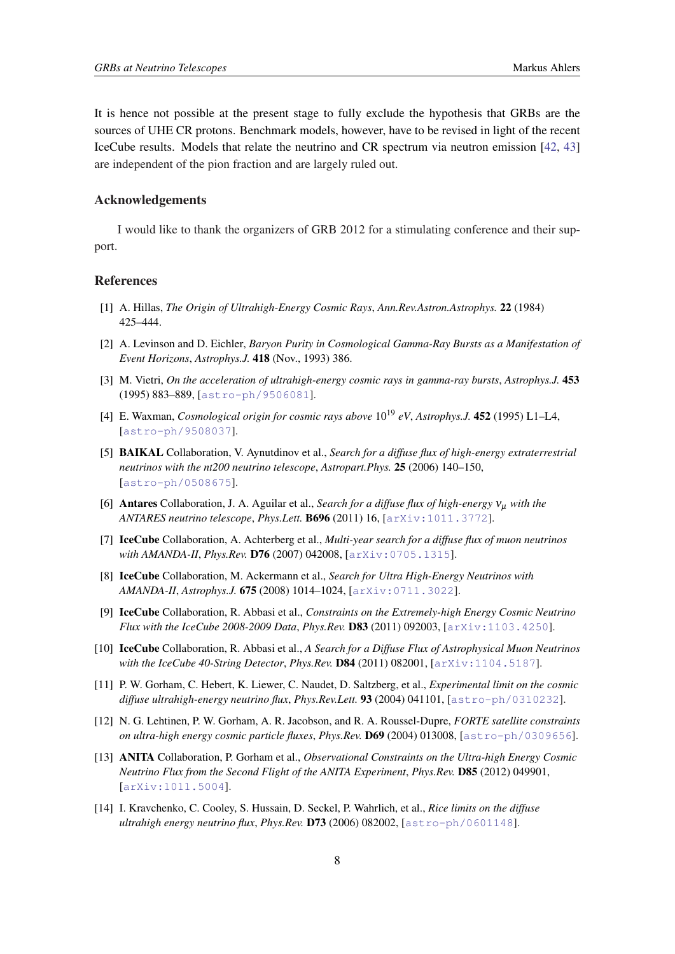<span id="page-7-0"></span>It is hence not possible at the present stage to fully exclude the hypothesis that GRBs are the sources of UHE CR protons. Benchmark models, however, have to be revised in light of the recent IceCube results. Models that relate the neutrino and CR spectrum via neutron emission [\[42](#page-9-0), [43](#page-9-0)] are independent of the pion fraction and are largely ruled out.

#### Acknowledgements

I would like to thank the organizers of GRB 2012 for a stimulating conference and their support.

## References

- [1] A. Hillas, *The Origin of Ultrahigh-Energy Cosmic Rays*, *Ann.Rev.Astron.Astrophys.* 22 (1984) 425–444.
- [2] A. Levinson and D. Eichler, *Baryon Purity in Cosmological Gamma-Ray Bursts as a Manifestation of Event Horizons*, *Astrophys.J.* 418 (Nov., 1993) 386.
- [3] M. Vietri, *On the acceleration of ultrahigh-energy cosmic rays in gamma-ray bursts*, *Astrophys.J.* 453 (1995) 883–889, [[astro-ph/9506081](http://xxx.lanl.gov/abs/astro-ph/9506081)].
- [4] E. Waxman, *Cosmological origin for cosmic rays above* 10<sup>19</sup> *eV*, *Astrophys.J.* 452 (1995) L1–L4, [[astro-ph/9508037](http://xxx.lanl.gov/abs/astro-ph/9508037)].
- [5] BAIKAL Collaboration, V. Aynutdinov et al., *Search for a diffuse flux of high-energy extraterrestrial neutrinos with the nt200 neutrino telescope*, *Astropart.Phys.* 25 (2006) 140–150, [[astro-ph/0508675](http://xxx.lanl.gov/abs/astro-ph/0508675)].
- [6] Antares Collaboration, J. A. Aguilar et al., *Search for a diffuse flux of high-energy*  $v_u$  *with the ANTARES neutrino telescope*, *Phys.Lett.* B696 (2011) 16, [[arXiv:1011.3772](http://arXiv.org/abs/arXiv:1011.3772)].
- [7] IceCube Collaboration, A. Achterberg et al., *Multi-year search for a diffuse flux of muon neutrinos with AMANDA-II*, *Phys.Rev.* D76 (2007) 042008, [[arXiv:0705.1315](http://xxx.lanl.gov/abs/0705.1315)].
- [8] IceCube Collaboration, M. Ackermann et al., *Search for Ultra High-Energy Neutrinos with AMANDA-II*, *Astrophys.J.* 675 (2008) 1014–1024, [[arXiv:0711.3022](http://xxx.lanl.gov/abs/0711.3022)].
- [9] IceCube Collaboration, R. Abbasi et al., *Constraints on the Extremely-high Energy Cosmic Neutrino Flux with the IceCube 2008-2009 Data*, *Phys.Rev.* D83 (2011) 092003, [[arXiv:1103.4250](http://xxx.lanl.gov/abs/1103.4250)].
- [10] IceCube Collaboration, R. Abbasi et al., *A Search for a Diffuse Flux of Astrophysical Muon Neutrinos with the IceCube 40-String Detector*, *Phys.Rev.* D84 (2011) 082001, [[arXiv:1104.5187](http://xxx.lanl.gov/abs/1104.5187)].
- [11] P. W. Gorham, C. Hebert, K. Liewer, C. Naudet, D. Saltzberg, et al., *Experimental limit on the cosmic diffuse ultrahigh-energy neutrino flux*, *Phys.Rev.Lett.* 93 (2004) 041101, [[astro-ph/0310232](http://xxx.lanl.gov/abs/astro-ph/0310232)].
- [12] N. G. Lehtinen, P. W. Gorham, A. R. Jacobson, and R. A. Roussel-Dupre, *FORTE satellite constraints on ultra-high energy cosmic particle fluxes*, *Phys.Rev.* D69 (2004) 013008, [[astro-ph/0309656](http://xxx.lanl.gov/abs/astro-ph/0309656)].
- [13] ANITA Collaboration, P. Gorham et al., *Observational Constraints on the Ultra-high Energy Cosmic Neutrino Flux from the Second Flight of the ANITA Experiment*, *Phys.Rev.* D85 (2012) 049901, [[arXiv:1011.5004](http://xxx.lanl.gov/abs/1011.5004)].
- [14] I. Kravchenko, C. Cooley, S. Hussain, D. Seckel, P. Wahrlich, et al., *Rice limits on the diffuse ultrahigh energy neutrino flux*, *Phys.Rev.* D73 (2006) 082002, [[astro-ph/0601148](http://xxx.lanl.gov/abs/astro-ph/0601148)].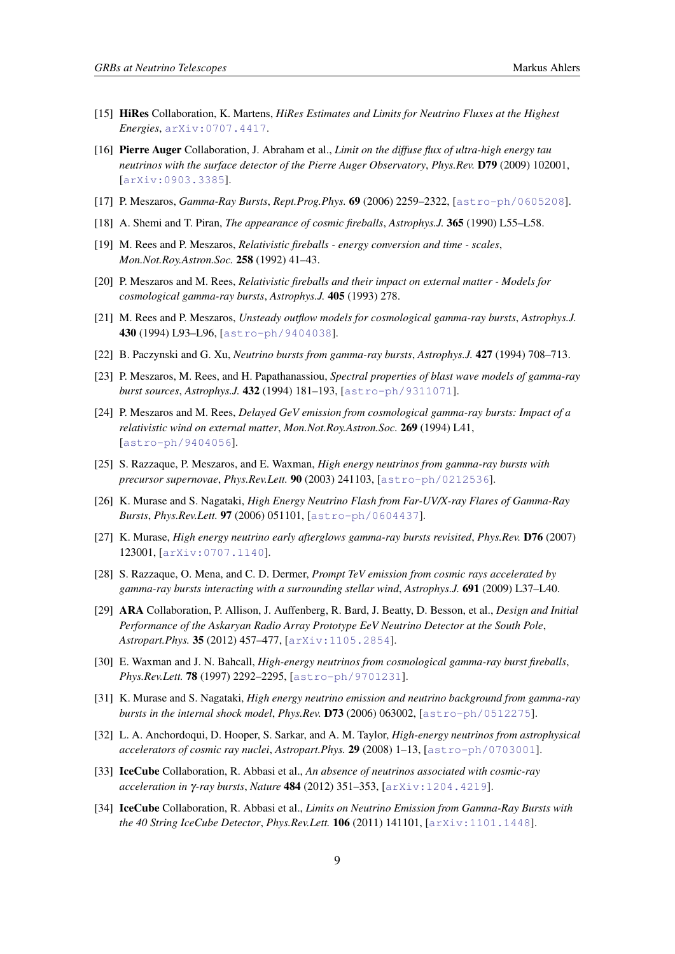- <span id="page-8-0"></span>[15] HiRes Collaboration, K. Martens, *HiRes Estimates and Limits for Neutrino Fluxes at the Highest Energies*, [arXiv:0707.4417](http://xxx.lanl.gov/abs/0707.4417).
- [16] Pierre Auger Collaboration, J. Abraham et al., *Limit on the diffuse flux of ultra-high energy tau neutrinos with the surface detector of the Pierre Auger Observatory*, *Phys.Rev.* D79 (2009) 102001, [[arXiv:0903.3385](http://xxx.lanl.gov/abs/0903.3385)].
- [17] P. Meszaros, *Gamma-Ray Bursts*, *Rept.Prog.Phys.* 69 (2006) 2259–2322, [[astro-ph/0605208](http://xxx.lanl.gov/abs/astro-ph/0605208)].
- [18] A. Shemi and T. Piran, *The appearance of cosmic fireballs*, *Astrophys.J.* 365 (1990) L55–L58.
- [19] M. Rees and P. Meszaros, *Relativistic fireballs energy conversion and time scales*, *Mon.Not.Roy.Astron.Soc.* 258 (1992) 41–43.
- [20] P. Meszaros and M. Rees, *Relativistic fireballs and their impact on external matter Models for cosmological gamma-ray bursts*, *Astrophys.J.* 405 (1993) 278.
- [21] M. Rees and P. Meszaros, *Unsteady outflow models for cosmological gamma-ray bursts*, *Astrophys.J.* 430 (1994) L93–L96, [[astro-ph/9404038](http://xxx.lanl.gov/abs/astro-ph/9404038)].
- [22] B. Paczynski and G. Xu, *Neutrino bursts from gamma-ray bursts*, *Astrophys.J.* 427 (1994) 708–713.
- [23] P. Meszaros, M. Rees, and H. Papathanassiou, *Spectral properties of blast wave models of gamma-ray burst sources*, *Astrophys.J.* 432 (1994) 181–193, [[astro-ph/9311071](http://xxx.lanl.gov/abs/astro-ph/9311071)].
- [24] P. Meszaros and M. Rees, *Delayed GeV emission from cosmological gamma-ray bursts: Impact of a relativistic wind on external matter*, *Mon.Not.Roy.Astron.Soc.* 269 (1994) L41, [[astro-ph/9404056](http://xxx.lanl.gov/abs/astro-ph/9404056)].
- [25] S. Razzaque, P. Meszaros, and E. Waxman, *High energy neutrinos from gamma-ray bursts with precursor supernovae*, *Phys.Rev.Lett.* 90 (2003) 241103, [[astro-ph/0212536](http://xxx.lanl.gov/abs/astro-ph/0212536)].
- [26] K. Murase and S. Nagataki, *High Energy Neutrino Flash from Far-UV/X-ray Flares of Gamma-Ray Bursts*, *Phys.Rev.Lett.* 97 (2006) 051101, [[astro-ph/0604437](http://xxx.lanl.gov/abs/astro-ph/0604437)].
- [27] K. Murase, *High energy neutrino early afterglows gamma-ray bursts revisited*, *Phys.Rev.* D76 (2007) 123001, [[arXiv:0707.1140](http://xxx.lanl.gov/abs/0707.1140)].
- [28] S. Razzaque, O. Mena, and C. D. Dermer, *Prompt TeV emission from cosmic rays accelerated by gamma-ray bursts interacting with a surrounding stellar wind*, *Astrophys.J.* 691 (2009) L37–L40.
- [29] ARA Collaboration, P. Allison, J. Auffenberg, R. Bard, J. Beatty, D. Besson, et al., *Design and Initial Performance of the Askaryan Radio Array Prototype EeV Neutrino Detector at the South Pole*, *Astropart.Phys.* 35 (2012) 457–477, [[arXiv:1105.2854](http://xxx.lanl.gov/abs/1105.2854)].
- [30] E. Waxman and J. N. Bahcall, *High-energy neutrinos from cosmological gamma-ray burst fireballs*, *Phys.Rev.Lett.* 78 (1997) 2292–2295, [[astro-ph/9701231](http://xxx.lanl.gov/abs/astro-ph/9701231)].
- [31] K. Murase and S. Nagataki, *High energy neutrino emission and neutrino background from gamma-ray bursts in the internal shock model*, *Phys.Rev.* D73 (2006) 063002, [[astro-ph/0512275](http://xxx.lanl.gov/abs/astro-ph/0512275)].
- [32] L. A. Anchordoqui, D. Hooper, S. Sarkar, and A. M. Taylor, *High-energy neutrinos from astrophysical accelerators of cosmic ray nuclei*, *Astropart.Phys.* 29 (2008) 1–13, [[astro-ph/0703001](http://xxx.lanl.gov/abs/astro-ph/0703001)].
- [33] IceCube Collaboration, R. Abbasi et al., *An absence of neutrinos associated with cosmic-ray acceleration in* γ*-ray bursts*, *Nature* 484 (2012) 351–353, [[arXiv:1204.4219](http://xxx.lanl.gov/abs/1204.4219)].
- [34] IceCube Collaboration, R. Abbasi et al., *Limits on Neutrino Emission from Gamma-Ray Bursts with the 40 String IceCube Detector*, *Phys.Rev.Lett.* 106 (2011) 141101, [[arXiv:1101.1448](http://xxx.lanl.gov/abs/1101.1448)].